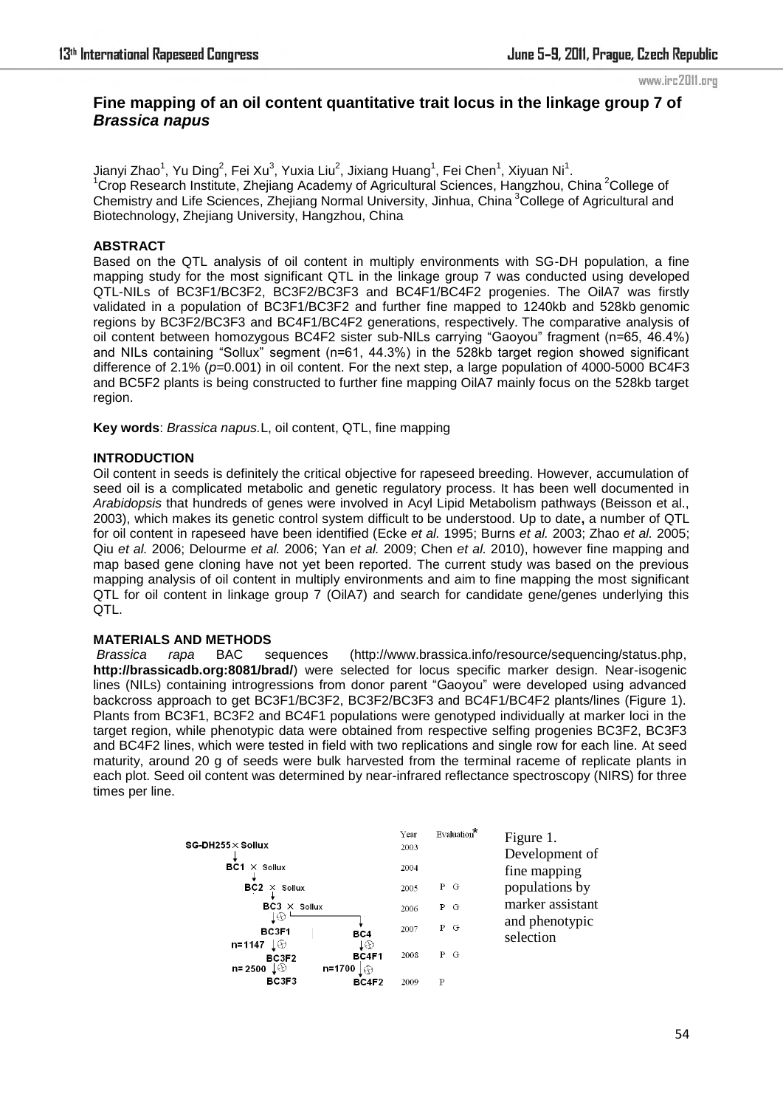#### www.irc2011.org

# **Fine mapping of an oil content quantitative trait locus in the linkage group 7 of**  *Brassica napus*

Jianyi Zhao $^1$ , Yu Ding $^2$ , Fei Xu $^3$ , Yuxia Liu $^2$ , Jixiang Huang $^1$ , Fei Chen $^1$ , Xiyuan Ni $^1$ .  $1$ Crop Research Institute, Zhejiang Academy of Agricultural Sciences, Hangzhou, China  $2$ College of Chemistry and Life Sciences, Zhejiang Normal University, Jinhua, China<sup>3</sup>College of Agricultural and Biotechnology, Zhejiang University, Hangzhou, China

### **ABSTRACT**

Based on the QTL analysis of oil content in multiply environments with SG-DH population, a fine mapping study for the most significant QTL in the linkage group 7 was conducted using developed QTL-NILs of BC3F1/BC3F2, BC3F2/BC3F3 and BC4F1/BC4F2 progenies. The OilA7 was firstly validated in a population of BC3F1/BC3F2 and further fine mapped to 1240kb and 528kb genomic regions by BC3F2/BC3F3 and BC4F1/BC4F2 generations, respectively. The comparative analysis of oil content between homozygous BC4F2 sister sub-NILs carrying "Gaoyou" fragment (n=65, 46.4%) and NILs containing "Sollux" segment (n=61, 44.3%) in the 528kb target region showed significant difference of 2.1% ( $p=0.001$ ) in oil content. For the next step, a large population of 4000-5000 BC4F3 and BC5F2 plants is being constructed to further fine mapping OilA7 mainly focus on the 528kb target region.

**Key words**: *Brassica napus.*L, oil content, QTL, fine mapping

#### **INTRODUCTION**

Oil content in seeds is definitely the critical objective for rapeseed breeding. However, accumulation of seed oil is a complicated metabolic and genetic regulatory process. It has been well documented in *Arabidopsis* that hundreds of genes were involved in Acyl Lipid Metabolism pathways (Beisson et al., 2003), which makes its genetic control system difficult to be understood. Up to date**,** a number of QTL for oil content in rapeseed have been identified (Ecke *et al.* 1995; Burns *et al.* 2003; Zhao *et al.* 2005; Qiu *et al.* 2006; Delourme *et al.* 2006; Yan *et al.* 2009; Chen *et al.* 2010), however fine mapping and map based gene cloning have not yet been reported. The current study was based on the previous mapping analysis of oil content in multiply environments and aim to fine mapping the most significant QTL for oil content in linkage group 7 (OilA7) and search for candidate gene/genes underlying this QTL.

## **MATERIALS AND METHODS**

*Brassica rapa* BAC sequences (http://www.brassica.info/resource/sequencing/status.php, **<http://brassicadb.org:8081/brad/>**) were selected for locus specific marker design. Near-isogenic lines (NILs) containing introgressions from donor parent "Gaoyou" were developed using advanced backcross approach to get BC3F1/BC3F2, BC3F2/BC3F3 and BC4F1/BC4F2 plants/lines (Figure 1). Plants from BC3F1, BC3F2 and BC4F1 populations were genotyped individually at marker loci in the target region, while phenotypic data were obtained from respective selfing progenies BC3F2, BC3F3 and BC4F2 lines, which were tested in field with two replications and single row for each line. At seed maturity, around 20 g of seeds were bulk harvested from the terminal raceme of replicate plants in each plot. Seed oil content was determined by near-infrared reflectance spectroscopy (NIRS) for three times per line.

|                                                              | Year | Evaluation* | Figure 1.        |
|--------------------------------------------------------------|------|-------------|------------------|
| $SG-DH255\times Sollux$                                      | 2003 |             | Development of   |
| BC1<br>$\times$ Sollux                                       | 2004 |             | fine mapping     |
| $BC2 \times$ Sollux                                          | 2005 | P G         | populations by   |
| $BC3 \times$ Sollux                                          | 2006 | P G         | marker assistant |
| 10<br>BC3F1<br>BC4                                           | 2007 | P G         | and phenotypic   |
| n=1147<br>T®<br>T⊕.                                          |      |             | selection        |
| BC4F1<br>BC3F2<br>$n = 2500 \downarrow \odot$<br>n=1700<br>⊕ | 2008 | P G         |                  |
| BC3F3<br>BC4F2                                               | 2009 | P           |                  |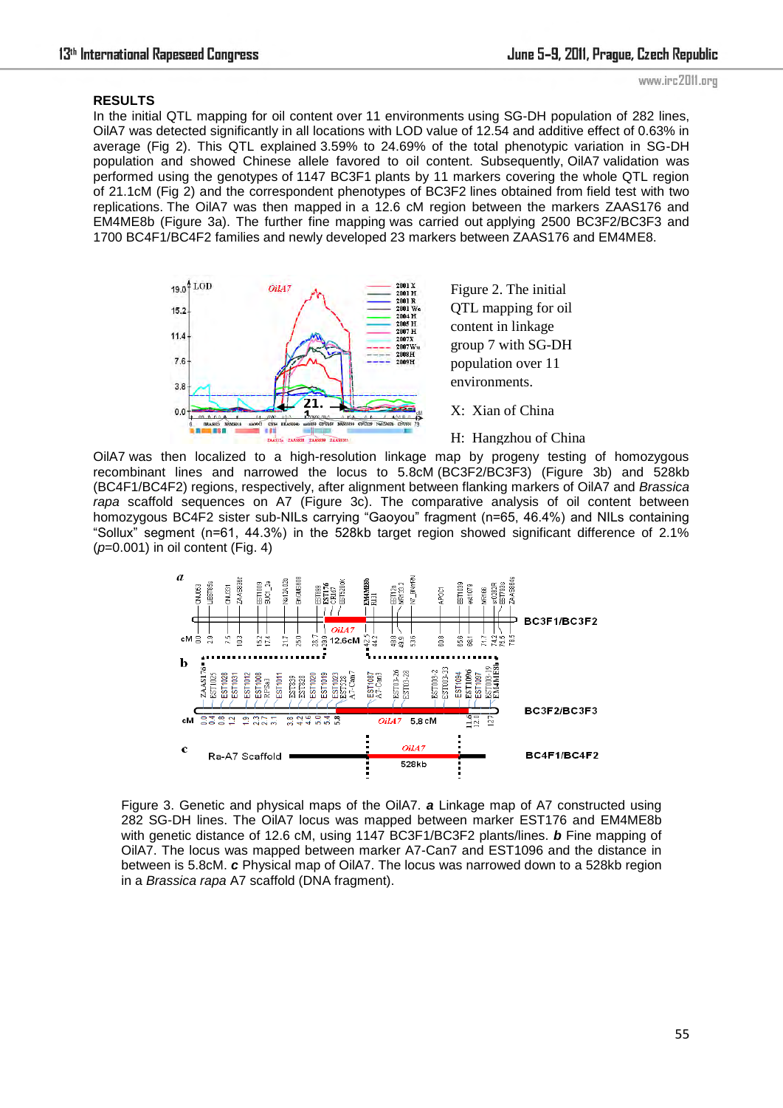#### **RESULTS**

In the initial QTL mapping for oil content over 11 environments using SG-DH population of 282 lines, OilA7 was detected significantly in all locations with LOD value of 12.54 and additive effect of 0.63% in average (Fig 2). This QTL explained 3.59% to 24.69% of the total phenotypic variation in SG-DH population and showed Chinese allele favored to oil content. Subsequently, OilA7 validation was performed using the genotypes of 1147 BC3F1 plants by 11 markers covering the whole QTL region of 21.1cM (Fig 2) and the correspondent phenotypes of BC3F2 lines obtained from field test with two replications. The OilA7 was then mapped in a 12.6 cM region between the markers ZAAS176 and EM4ME8b (Figure 3a). The further fine mapping was carried out applying 2500 BC3F2/BC3F3 and 1700 BC4F1/BC4F2 families and newly developed 23 markers between ZAAS176 and EM4ME8.



Figure 2. The initial QTL mapping for oil content in linkage group 7 with SG-DH population over 11 environments.

X: Xian of China

H: Hangzhou of China

OilA7 was then localized to a high-resolution linkage map by progeny testing of homozygous University was their localized to a high-resolution limitage high by progeny testing or homozygous recombinant lines and narrowed the locus to 5.8cM (BC3F2/BC3F3) (Figure 3b) and 528kb (BC4F1/BC4F2) regions, respectively, after alignment between flanking markers of OilA7 and *Brassica*  R: Reinshof of *rapa* scaffold sequences on A7 (Figure 3c). The comparative analysis of oil content between homozygous BC4F2 sister sub-NILs carrying "Gaoyou" fragment (n=65, 46.4%) and NILs containing http:// "Sollux" segment (n=61, 44.3%) in the 528kb target region showed significant difference of 2.1% (*p*=0.001) in oil content (Fig. 4)



Figure 3. Genetic and physical maps of the OilA7. *a* Linkage map of A7 constructed using 282 SG-DH lines. The OilA7 locus was mapped between marker EST176 and EM4ME8b with genetic distance of 12.6 cM, using 1147 BC3F1/BC3F2 plants/lines. *b* Fine mapping of OilA7. The locus was mapped between marker A7-Can7 and EST1096 and the distance in between is 5.8cM. *c* Physical map of OilA7. The locus was narrowed down to a 528kb region in a *Brassica rapa* A7 scaffold (DNA fragment).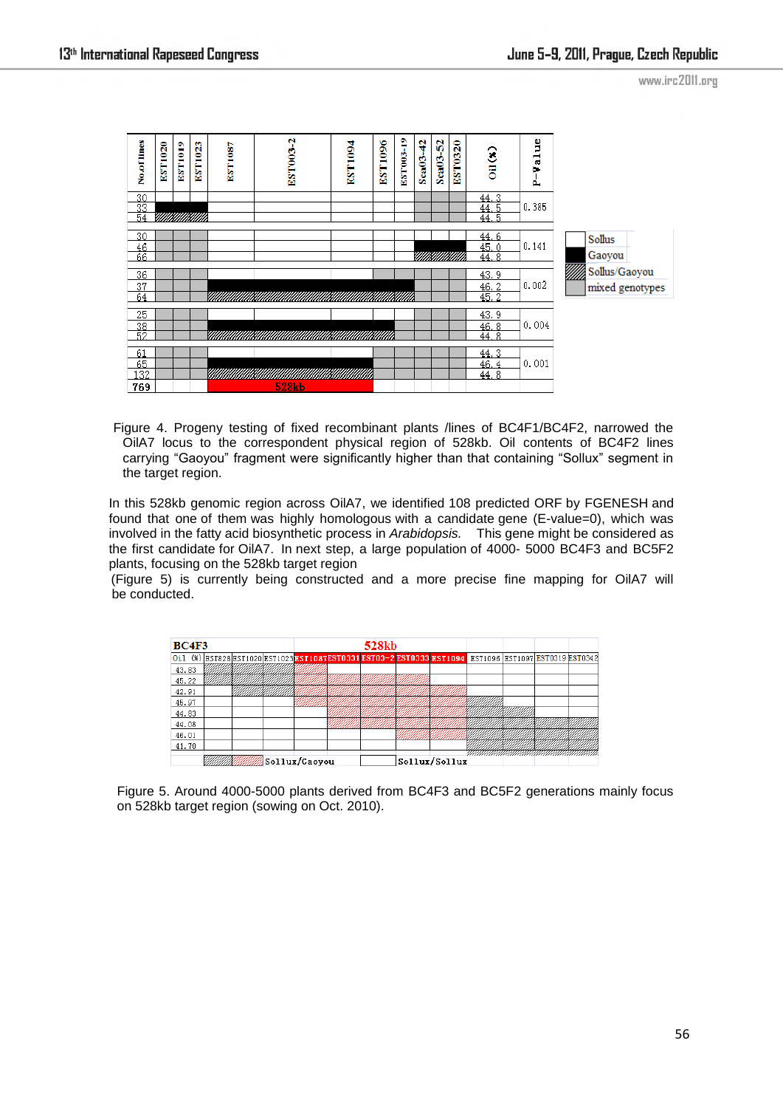www.irc2011.org



 Figure 4. Progeny testing of fixed recombinant plants /lines of BC4F1/BC4F2, narrowed the OilA7 locus to the correspondent physical region of 528kb. Oil contents of BC4F2 lines carrying "Gaoyou" fragment were significantly higher than that containing "Sollux" segment in the target region.

In this 528kb genomic region across OilA7, we identified 108 predicted ORF by FGENESH and found that one of them was highly homologous with a candidate gene (E-value=0), which was involved in the fatty acid biosynthetic process in *Arabidopsis.* This gene might be considered as the first candidate for OilA7. In next step, a large population of 4000- 5000 BC4F3 and BC5F2 plants, focusing on the 528kb target region

(Figure 5) is currently being constructed and a more precise fine mapping for OilA7 will be conducted.

| <b>BC4F3</b>    |  |  |  |  | 528 <sub>kb</sub> |  |                                                                                                        |  |  |
|-----------------|--|--|--|--|-------------------|--|--------------------------------------------------------------------------------------------------------|--|--|
|                 |  |  |  |  |                   |  | 0i1 (%) EST828 EST1020 EST1023 EST108 TEST0331 EST03-2 EST0333 EST1094 EST1096 EST1097 EST0319 EST0342 |  |  |
| 43.83           |  |  |  |  |                   |  |                                                                                                        |  |  |
| 45.22           |  |  |  |  |                   |  |                                                                                                        |  |  |
| 42.91           |  |  |  |  |                   |  |                                                                                                        |  |  |
| 45.97           |  |  |  |  |                   |  |                                                                                                        |  |  |
| 44.83           |  |  |  |  |                   |  |                                                                                                        |  |  |
| 44.08           |  |  |  |  |                   |  |                                                                                                        |  |  |
| 46.01           |  |  |  |  |                   |  |                                                                                                        |  |  |
| 41.70           |  |  |  |  |                   |  |                                                                                                        |  |  |
| Sollux/Gaovou } |  |  |  |  | Sollux/Sollux     |  |                                                                                                        |  |  |

Figure 5. Around 4000-5000 plants derived from BC4F3 and BC5F2 generations mainly focus on 528kb target region (sowing on Oct. 2010).